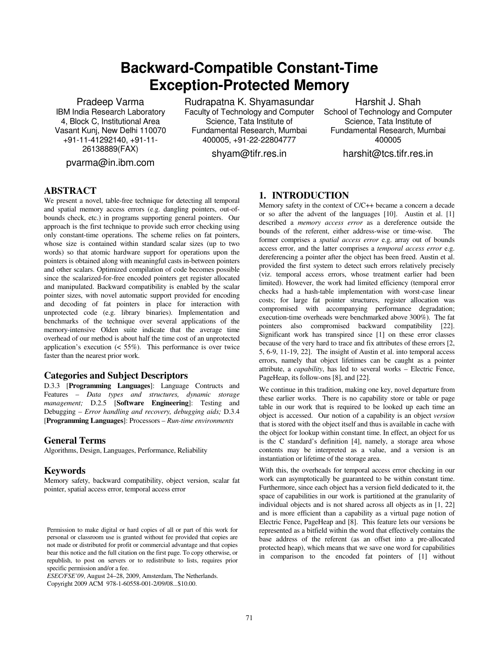# **Backward-Compatible Constant-Time Exception-Protected Memory**

Pradeep Varma IBM India Research Laboratory 4, Block C, Institutional Area Vasant Kunj, New Delhi 110070 +91-11-41292140, +91-11- 26138889(FAX)

pvarma@in.ibm.com

Rudrapatna K. Shyamasundar Faculty of Technology and Computer Science, Tata Institute of Fundamental Research, Mumbai 400005, +91-22-22804777

Harshit J. Shah School of Technology and Computer Science, Tata Institute of Fundamental Research, Mumbai 400005

harshit@tcs.tifr.res.in

shyam@tifr.res.in

**ABSTRACT** We present a novel, table-free technique for detecting all temporal and spatial memory access errors (e.g. dangling pointers, out-ofbounds check, etc.) in programs supporting general pointers. Our approach is the first technique to provide such error checking using only constant-time operations. The scheme relies on fat pointers, whose size is contained within standard scalar sizes (up to two words) so that atomic hardware support for operations upon the pointers is obtained along with meaningful casts in-between pointers and other scalars. Optimized compilation of code becomes possible since the scalarized-for-free encoded pointers get register allocated and manipulated. Backward compatibility is enabled by the scalar pointer sizes, with novel automatic support provided for encoding and decoding of fat pointers in place for interaction with unprotected code (e.g. library binaries). Implementation and benchmarks of the technique over several applications of the memory-intensive Olden suite indicate that the average time overhead of our method is about half the time cost of an unprotected application's execution  $\langle \langle 55\% \rangle$ . This performance is over twice faster than the nearest prior work.

#### **Categories and Subject Descriptors**

D.3.3 [**Programming Languages**]: Language Contructs and Features – *Data types and structures, dynamic storage management;* D.2.5 [**Software Engineering**]: Testing and Debugging – *Error handling and recovery, debugging aids;* D.3.4 [**Programming Languages**]: Processors – *Run-time environments*

## **General Terms**

Algorithms, Design, Languages, Performance, Reliability

#### **Keywords**

Memory safety, backward compatibility, object version, scalar fat pointer, spatial access error, temporal access error

*ESEC/FSE'09*, August 24–28, 2009, Amsterdam, The Netherlands.

Copyright 2009 ACM 978-1-60558-001-2/09/08...\$10.00.

### **1. INTRODUCTION**

Memory safety in the context of C/C++ became a concern a decade or so after the advent of the languages [10]. Austin et al. [1] described a *memory access error* as a dereference outside the bounds of the referent, either address-wise or time-wise. The former comprises a *spatial access error* e.g. array out of bounds access error, and the latter comprises a *temporal access error* e.g. dereferencing a pointer after the object has been freed. Austin et al. provided the first system to detect such errors relatively precisely (viz. temporal access errors, whose treatment earlier had been limited). However, the work had limited efficiency (temporal error checks had a hash-table implementation with worst-case linear costs; for large fat pointer structures, register allocation was compromised with accompanying performance degradation; execution-time overheads were benchmarked above 300%). The fat pointers also compromised backward compatibility [22]. Significant work has transpired since [1] on these error classes because of the very hard to trace and fix attributes of these errors [2, 5, 6-9, 11-19, 22]. The insight of Austin et al. into temporal access errors, namely that object lifetimes can be caught as a pointer attribute, a *capability*, has led to several works – Electric Fence, PageHeap, its follow-ons [8], and [22].

We continue in this tradition, making one key, novel departure from these earlier works. There is no capability store or table or page table in our work that is required to be looked up each time an object is accessed. Our notion of a capability is an object *version* that is stored with the object itself and thus is available in cache with the object for lookup within constant time. In effect, an object for us is the C standard's definition [4], namely, a storage area whose contents may be interpreted as a value, and a version is an instantiation or lifetime of the storage area.

With this, the overheads for temporal access error checking in our work can asymptotically be guaranteed to be within constant time. Furthermore, since each object has a version field dedicated to it, the space of capabilities in our work is partitioned at the granularity of individual objects and is not shared across all objects as in [1, 22] and is more efficient than a capability as a virtual page notion of Electric Fence, PageHeap and [8]. This feature lets our versions be represented as a bitfield within the word that effectively contains the base address of the referent (as an offset into a pre-allocated protected heap), which means that we save one word for capabilities in comparison to the encoded fat pointers of [1] without

Permission to make digital or hard copies of all or part of this work for personal or classroom use is granted without fee provided that copies are not made or distributed for profit or commercial advantage and that copies bear this notice and the full citation on the first page. To copy otherwise, or republish, to post on servers or to redistribute to lists, requires prior specific permission and/or a fee.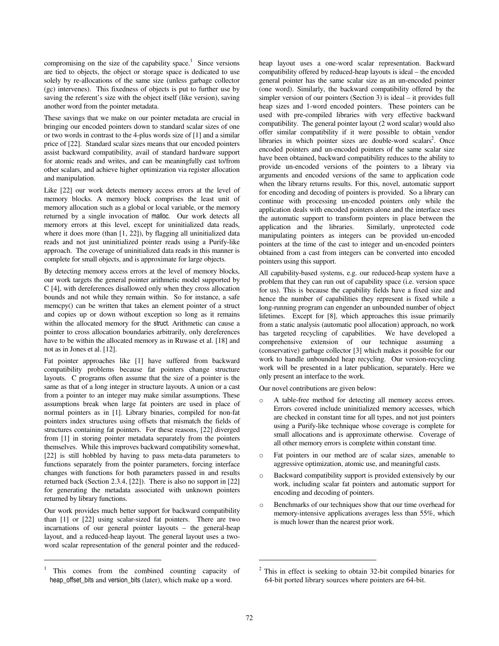compromising on the size of the capability space.<sup>1</sup> Since versions are tied to objects, the object or storage space is dedicated to use solely by re-allocations of the same size (unless garbage collector (gc) intervenes). This fixedness of objects is put to further use by saving the referent's size with the object itself (like version), saving another word from the pointer metadata.

These savings that we make on our pointer metadata are crucial in bringing our encoded pointers down to standard scalar sizes of one or two words in contrast to the 4-plus words size of [1] and a similar price of [22]. Standard scalar sizes means that our encoded pointers assist backward compatibility, avail of standard hardware support for atomic reads and writes, and can be meaningfully cast to/from other scalars, and achieve higher optimization via register allocation and manipulation.

Like [22] our work detects memory access errors at the level of memory blocks. A memory block comprises the least unit of memory allocation such as a global or local variable, or the memory returned by a single invocation of malloc. Our work detects all memory errors at this level, except for uninitialized data reads, where it does more (than [1, 22]), by flagging all uninitialized data reads and not just uninitialized pointer reads using a Purify-like approach. The coverage of uninitialized data reads in this manner is complete for small objects, and is approximate for large objects.

By detecting memory access errors at the level of memory blocks, our work targets the general pointer arithmetic model supported by C [4], with dereferences disallowed only when they cross allocation bounds and not while they remain within. So for instance, a safe memcpy() can be written that takes an element pointer of a struct and copies up or down without exception so long as it remains within the allocated memory for the struct. Arithmetic can cause a pointer to cross allocation boundaries arbitrarily, only dereferences have to be within the allocated memory as in Ruwase et al. [18] and not as in Jones et al. [12].

Fat pointer approaches like [1] have suffered from backward compatibility problems because fat pointers change structure layouts. C programs often assume that the size of a pointer is the same as that of a long integer in structure layouts. A union or a cast from a pointer to an integer may make similar assumptions. These assumptions break when large fat pointers are used in place of normal pointers as in [1]. Library binaries, compiled for non-fat pointers index structures using offsets that mismatch the fields of structures containing fat pointers. For these reasons, [22] diverged from [1] in storing pointer metadata separately from the pointers themselves. While this improves backward compatibility somewhat, [22] is still hobbled by having to pass meta-data parameters to functions separately from the pointer parameters, forcing interface changes with functions for both parameters passed in and results returned back (Section 2.3.4, [22]). There is also no support in [22] for generating the metadata associated with unknown pointers returned by library functions.

Our work provides much better support for backward compatibility than [1] or [22] using scalar-sized fat pointers. There are two incarnations of our general pointer layouts – the general-heap layout, and a reduced-heap layout. The general layout uses a twoword scalar representation of the general pointer and the reducedheap layout uses a one-word scalar representation. Backward compatibility offered by reduced-heap layouts is ideal – the encoded general pointer has the same scalar size as an un-encoded pointer (one word). Similarly, the backward compatibility offered by the simpler version of our pointers (Section 3) is ideal – it provides full heap sizes and 1-word encoded pointers. These pointers can be used with pre-compiled libraries with very effective backward compatibility. The general pointer layout (2 word scalar) would also offer similar compatibility if it were possible to obtain vendor libraries in which pointer sizes are double-word scalars<sup>2</sup>. Once encoded pointers and un-encoded pointers of the same scalar size have been obtained, backward compatibility reduces to the ability to provide un-encoded versions of the pointers to a library via arguments and encoded versions of the same to application code when the library returns results. For this, novel, automatic support for encoding and decoding of pointers is provided. So a library can continue with processing un-encoded pointers only while the application deals with encoded pointers alone and the interface uses the automatic support to transform pointers in place between the application and the libraries. Similarly, unprotected code manipulating pointers as integers can be provided un-encoded pointers at the time of the cast to integer and un-encoded pointers obtained from a cast from integers can be converted into encoded pointers using this support.

All capability-based systems, e.g. our reduced-heap system have a problem that they can run out of capability space (i.e. version space for us). This is because the capability fields have a fixed size and hence the number of capabilities they represent is fixed while a long-running program can engender an unbounded number of object lifetimes. Except for [8], which approaches this issue primarily from a static analysis (automatic pool allocation) approach, no work has targeted recycling of capabilities. We have developed a comprehensive extension of our technique assuming a (conservative) garbage collector [3] which makes it possible for our work to handle unbounded heap recycling. Our version-recycling work will be presented in a later publication, separately. Here we only present an interface to the work.

Our novel contributions are given below:

- A table-free method for detecting all memory access errors. Errors covered include uninitialized memory accesses, which are checked in constant time for all types, and not just pointers using a Purify-like technique whose coverage is complete for small allocations and is approximate otherwise. Coverage of all other memory errors is complete within constant time.
- o Fat pointers in our method are of scalar sizes, amenable to aggressive optimization, atomic use, and meaningful casts.
- o Backward compatibility support is provided extensively by our work, including scalar fat pointers and automatic support for encoding and decoding of pointers.
- o Benchmarks of our techniques show that our time overhead for memory-intensive applications averages less than 55%, which is much lower than the nearest prior work.

This comes from the combined counting capacity of heap\_offset\_bits and version\_bits (later), which make up a word.

<sup>2</sup> This in effect is seeking to obtain 32-bit compiled binaries for 64-bit ported library sources where pointers are 64-bit.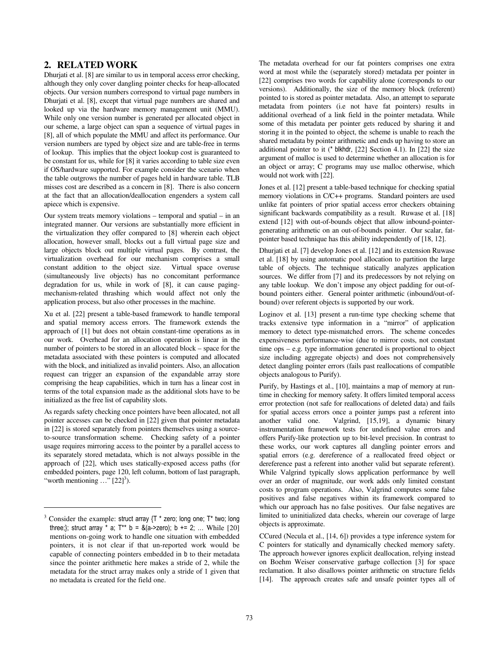#### **2. RELATED WORK**

Dhurjati et al. [8] are similar to us in temporal access error checking, although they only cover dangling pointer checks for heap-allocated objects. Our version numbers correspond to virtual page numbers in Dhurjati et al. [8], except that virtual page numbers are shared and looked up via the hardware memory management unit (MMU). While only one version number is generated per allocated object in our scheme, a large object can span a sequence of virtual pages in [8], all of which populate the MMU and affect its performance. Our version numbers are typed by object size and are table-free in terms of lookup. This implies that the object lookup cost is guaranteed to be constant for us, while for [8] it varies according to table size even if OS/hardware supported. For example consider the scenario when the table outgrows the number of pages held in hardware table. TLB misses cost are described as a concern in [8]. There is also concern at the fact that an allocation/deallocation engenders a system call apiece which is expensive.

Our system treats memory violations – temporal and spatial – in an integrated manner. Our versions are substantially more efficient in the virtualization they offer compared to [8] wherein each object allocation, however small, blocks out a full virtual page size and large objects block out multiple virtual pages. By contrast, the virtualization overhead for our mechanism comprises a small constant addition to the object size. Virtual space overuse (simultaneously live objects) has no concomitant performance degradation for us, while in work of [8], it can cause pagingmechanism-related thrashing which would affect not only the application process, but also other processes in the machine.

Xu et al. [22] present a table-based framework to handle temporal and spatial memory access errors. The framework extends the approach of [1] but does not obtain constant-time operations as in our work. Overhead for an allocation operation is linear in the number of pointers to be stored in an allocated block – space for the metadata associated with these pointers is computed and allocated with the block, and initialized as invalid pointers. Also, an allocation request can trigger an expansion of the expandable array store comprising the heap capabilities, which in turn has a linear cost in terms of the total expansion made as the additional slots have to be initialized as the free list of capability slots.

As regards safety checking once pointers have been allocated, not all pointer accesses can be checked in [22] given that pointer metadata in [22] is stored separately from pointers themselves using a sourceto-source transformation scheme. Checking safety of a pointer usage requires mirroring access to the pointer by a parallel access to its separately stored metadata, which is not always possible in the approach of [22], which uses statically-exposed access paths (for embedded pointers, page 120, left column, bottom of last paragraph, "worth mentioning ..."  $[22]$ <sup>3</sup>).

The metadata overhead for our fat pointers comprises one extra word at most while the (separately stored) metadata per pointer in [22] comprises two words for capability alone (corresponds to our versions). Additionally, the size of the memory block (referent) pointed to is stored as pointer metadata. Also, an attempt to separate metadata from pointers (i.e not have fat pointers) results in additional overhead of a link field in the pointer metadata. While some of this metadata per pointer gets reduced by sharing it and storing it in the pointed to object, the scheme is unable to reach the shared metadata by pointer arithmetic and ends up having to store an additional pointer to it (\* blkhdr, [22] Section 4.1). In [22] the size argument of malloc is used to determine whether an allocation is for an object or array; C programs may use malloc otherwise, which would not work with [22].

Jones et al. [12] present a table-based technique for checking spatial memory violations in C/C++ programs. Standard pointers are used unlike fat pointers of prior spatial access error checkers obtaining significant backwards compatibility as a result. Ruwase et al. [18] extend [12] with out-of-bounds object that allow inbound-pointergenerating arithmetic on an out-of-bounds pointer. Our scalar, fatpointer based technique has this ability independently of [18, 12].

Dhurjati et al. [7] develop Jones et al. [12] and its extension Ruwase et al. [18] by using automatic pool allocation to partition the large table of objects. The technique statically analyzes application sources. We differ from [7] and its predecessors by not relying on any table lookup. We don't impose any object padding for out-ofbound pointers either. General pointer arithmetic (inbound/out-ofbound) over referent objects is supported by our work.

Loginov et al. [13] present a run-time type checking scheme that tracks extensive type information in a "mirror" of application memory to detect type-mismatched errors. The scheme concedes expensiveness performance-wise (due to mirror costs, not constant time ops – e.g. type information generated is proportional to object size including aggregate objects) and does not comprehensively detect dangling pointer errors (fails past reallocations of compatible objects analogous to Purify).

Purify, by Hastings et al., [10], maintains a map of memory at runtime in checking for memory safety. It offers limited temporal access error protection (not safe for reallocations of deleted data) and fails for spatial access errors once a pointer jumps past a referent into another valid one. Valgrind, [15,19], a dynamic binary instrumentation framework tests for undefined value errors and offers Purify-like protection up to bit-level precision. In contrast to these works, our work captures all dangling pointer errors and spatial errors (e.g. dereference of a reallocated freed object or dereference past a referent into another valid but separate referent). While Valgrind typically slows application performance by well over an order of magnitude, our work adds only limited constant costs to program operations. Also, Valgrind computes some false positives and false negatives within its framework compared to which our approach has no false positives. Our false negatives are limited to uninitialized data checks, wherein our coverage of large objects is approximate.

CCured (Necula et al., [14, 6]) provides a type inference system for C pointers for statically and dynamically checked memory safety. The approach however ignores explicit deallocation, relying instead on Boehm Weiser conservative garbage collection [3] for space reclamation. It also disallows pointer arithmetic on structure fields [14]. The approach creates safe and unsafe pointer types all of

<sup>&</sup>lt;sup>3</sup> Consider the example: struct array  $\{T^*$  zero; long one;  $T^*$  two; long three;}; struct array \* a; T\*\* b = &(a->zero); b += 2; ... While [20] mentions on-going work to handle one situation with embedded pointers, it is not clear if that un-reported work would be capable of connecting pointers embedded in b to their metadata since the pointer arithmetic here makes a stride of 2, while the metadata for the struct array makes only a stride of 1 given that no metadata is created for the field one.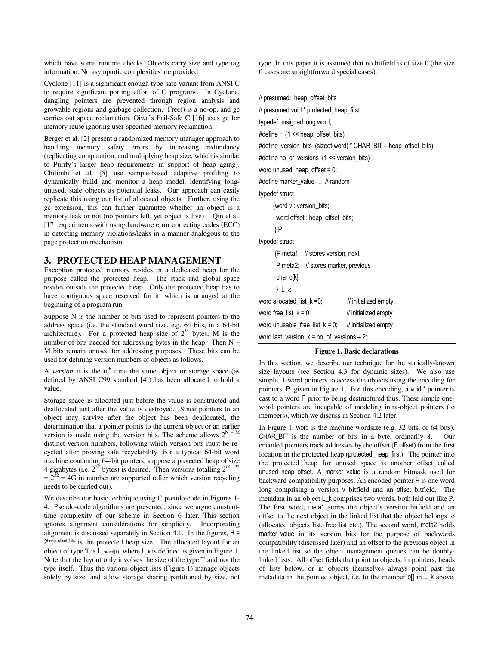which have some runtime checks. Objects carry size and type tag information. No asymptotic complexities are provided.

Cyclone [11] is a significant enough type-safe variant from ANSI C to require significant porting effort of C programs. In Cyclone, dangling pointers are prevented through region analysis and growable regions and garbage collection. Free() is a no-op, and gc carries out space reclamation. Oiwa's Fail-Safe C [16] uses gc for memory reuse ignoring user-specified memory reclamation.

Berger et al. [2] present a randomized memory manager approach to handling memory safety errors by increasing redundancy (replicating computation; and multiplying heap size, which is similar to Purify's larger heap requirements in support of heap aging). Chilimbi et al. [5] use sample-based adaptive profiling to dynamically build and monitor a heap model, identifying longunused, stale objects as potential leaks. Our approach can easily replicate this using our list of allocated objects. Further, using the gc extension, this can further guarantee whether an object is a memory leak or not (no pointers left, yet object is live). Qin et al. [17] experiments with using hardware error correcting codes (ECC) in detecting memory violations/leaks in a manner analogous to the page protection mechanism.

#### **3. PROTECTED HEAP MANAGEMENT**

Exception protected memory resides in a dedicated heap for the purpose called the protected heap. The stack and global space resides outside the protected heap. Only the protected heap has to have contiguous space reserved for it, which is arranged at the beginning of a program run.

Suppose N is the number of bits used to represent pointers to the address space (i.e. the standard word size, e.g. 64 bits, in a 64-bit architecture). For a protected heap size of  $2^M$  bytes, M is the number of bits needed for addressing bytes in the heap. Then N – M bits remain unused for addressing purposes. These bits can be used for defining version numbers of objects as follows.

A *version* n is the n<sup>th</sup> time the same object or storage space (as defined by ANSI C99 standard [4]) has been allocated to hold a value.

Storage space is allocated just before the value is constructed and deallocated just after the value is destroyed. Since pointers to an object may survive after the object has been deallocated, the determination that a pointer points to the current object or an earlier version is made using the version bits. The scheme allows  $2^{N-M}$ distinct version numbers, following which version bits must be recycled after proving safe recyclability. For a typical 64-bit word machine containing 64-bit pointers, suppose a protected heap of size 4 gigabytes (i.e.  $2^{32}$  bytes) is desired. Then versions totalling  $2^{64-32}$  $= 2^{32} = 4G$  in number are supported (after which version recycling needs to be carried out).

We describe our basic technique using C pseudo-code in Figures 1- 4. Pseudo-code algorithms are presented, since we argue constanttime complexity of our scheme in Section 6 later. This section ignores alignment considerations for simplicity. Incorporating alignment is discussed separately in Section 4.1. In the figures,  $H =$ 2heap\_offset\_bits is the protected heap size. The allocated layout for an object of type T is  $\mathsf{L}_{\text{sizeoff}}$ , where  $\mathsf{L}_{\mathsf{K}}$  is defined as given in Figure 1. Note that the layout only involves the size of the type T and not the type itself. Thus the various object lists (Figure 1) manage objects solely by size, and allow storage sharing partitioned by size, not type. In this paper it is assumed that no bitfield is of size 0 (the size 0 cases are straightforward special cases).

| // presumed: heap offset bits                                     |                      |  |  |  |  |
|-------------------------------------------------------------------|----------------------|--|--|--|--|
| // presumed void * protected heap first                           |                      |  |  |  |  |
| typedef unsigned long word;                                       |                      |  |  |  |  |
| #define H (1 << heap offset bits)                                 |                      |  |  |  |  |
| #define version_bits (sizeof(word) * CHAR_BIT - heap_offset_bits) |                      |  |  |  |  |
| #define no_of_versions (1 << version_bits)                        |                      |  |  |  |  |
| word unused heap offset $= 0$ ;                                   |                      |  |  |  |  |
| #define marker value  // random                                   |                      |  |  |  |  |
| typedef struct                                                    |                      |  |  |  |  |
| {word v : version bits;                                           |                      |  |  |  |  |
| word offset : heap offset bits;                                   |                      |  |  |  |  |
| }P:                                                               |                      |  |  |  |  |
| typedef struct                                                    |                      |  |  |  |  |
| {P meta1; // stores version, next                                 |                      |  |  |  |  |
| P meta2; // stores marker, previous                               |                      |  |  |  |  |
| char o[k];                                                        |                      |  |  |  |  |
| $\}$ L $_{\rm k}$ ;                                               |                      |  |  |  |  |
| word allocated_list_k =0;                                         | // initialized empty |  |  |  |  |
| word free_list_ $k = 0$ ;                                         | // initialized empty |  |  |  |  |
| word unusable_free_list_k = 0; // initialized empty               |                      |  |  |  |  |
| word last_version_ $k = no$ _of_versions $-2$ ;                   |                      |  |  |  |  |

#### **Figure 1. Basic declarations**

In this section, we describe our technique for the statically-known size layouts (see Section 4.3 for dynamic sizes). We also use simple, 1-word pointers to access the objects using the encoding for pointers, P, given in Figure 1. For this encoding, a void \* pointer is cast to a word P prior to being destructured thus. These simple oneword pointers are incapable of modeling intra-object pointers (to members), which we discuss in Section 4.2 later.

In Figure 1, word is the machine wordsize (e.g.  $32$  bits, or 64 bits). CHAR BIT is the number of bits in a byte, ordinarily 8. Our encoded pointers track addresses by the offset (P.offset) from the first location in the protected heap (protected\_heap\_first). The pointer into the protected heap for unused space is another offset called unused\_heap\_offset. A marker\_value is a random bitmask used for backward compatibility purposes. An encoded pointer P is one word long comprising a version  $\nu$  bitfield and an offset bitfield. The metadata in an object L\_k comprises two words, both laid out like P. The first word, meta1 stores the object's version bitfield and an offset to the next object in the linked list that the object belongs to (allocated objects list, free list etc.). The second word, meta2 holds marker\_value in its version bits for the purpose of backwards compatibility (discussed later) and an offset to the previous object in the linked list so the object management queues can be doublylinked lists. All offset fields that point to objects, in pointers, heads of lists below, or in objects themselves always point past the metadata in the pointed object, i.e. to the member  $\sigma$ ] in  $\mathsf{L}\_k$  above.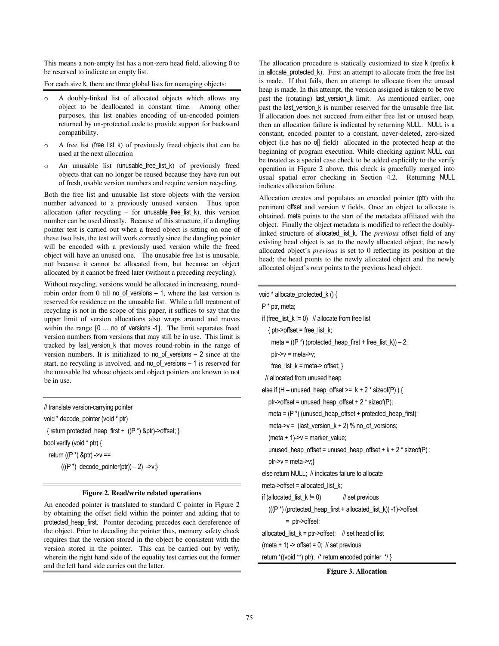This means a non-empty list has a non-zero head field, allowing 0 to be reserved to indicate an empty list.

For each size &, there are three global lists for managing objects:

- o A doubly-linked list of allocated objects which allows any object to be deallocated in constant time. Among other purposes, this list enables encoding of un-encoded pointers returned by un-protected code to provide support for backward compatibility.
- $\circ$  A free list (free list k) of previously freed objects that can be used at the next allocation
- $\circ$  An unusable list (unusable\_free\_list\_k) of previously freed objects that can no longer be reused because they have run out of fresh, usable version numbers and require version recycling.

Both the free list and unusable list store objects with the version number advanced to a previously unused version. Thus upon allocation (after recycling – for unusable\_free\_list\_k), this version number can be used directly. Because of this structure, if a dangling pointer test is carried out when a freed object is sitting on one of these two lists, the test will work correctly since the dangling pointer will be encoded with a previously used version while the freed object will have an unused one. The unusable free list is unusable, not because it cannot be allocated from, but because an object allocated by it cannot be freed later (without a preceding recycling).

Without recycling, versions would be allocated in increasing, roundrobin order from 0 till no of versions  $-1$ , where the last version is reserved for residence on the unusable list. While a full treatment of recycling is not in the scope of this paper, it suffices to say that the upper limit of version allocations also wraps around and moves within the range [0 ... no\_of\_versions -1]. The limit separates freed version numbers from versions that may still be in use. This limit is tracked by last\_version\_k that moves round-robin in the range of version numbers. It is initialized to  $no_0f_$  versions  $-2$  since at the start, no recycling is involved, and  $no_of_versions - 1$  is reserved for the unusable list whose objects and object pointers are known to not be in use.

// translate version-carrying pointer

void \* decode\_pointer (void \* ptr)

{ return protected\_heap\_first + ((P \*) &ptr)->offset; }

bool verify (void \* ptr) {

return ((P  $*$ ) &ptr) -> $v =$ 

 $(((P^*)\text{ decode\_pointer}(ptr)) - 2)$  ->v;}

#### **Figure 2. Read/write related operations**

An encoded pointer is translated to standard C pointer in Figure 2 by obtaining the offset field within the pointer and adding that to protected\_heap\_first. Pointer decoding precedes each dereference of the object. Prior to decoding the pointer thus, memory safety check requires that the version stored in the object be consistent with the version stored in the pointer. This can be carried out by verify, wherein the right hand side of the equality test carries out the former and the left hand side carries out the latter.

The allocation procedure is statically customized to size & (prefix & in allocate\_protected\_k). First an attempt to allocate from the free list is made. If that fails, then an attempt to allocate from the unused heap is made. In this attempt, the version assigned is taken to be two past the (rotating) last\_version\_k limit. As mentioned earlier, one past the last\_version\_k is number reserved for the unusable free list. If allocation does not succeed from either free list or unused heap, then an allocation failure is indicated by returning NULL. NULL is a constant, encoded pointer to a constant, never-deleted, zero-sized object (i.e has no  $\phi$ ] field) allocated in the protected heap at the beginning of program execution. While checking against NULL can be treated as a special case check to be added explicitly to the verify operation in Figure 2 above, this check is gracefully merged into usual spatial error checking in Section 4.2. Returning NULL indicates allocation failure.

Allocation creates and populates an encoded pointer (ptr) with the pertinent offset and version v fields. Once an object to allocate is obtained, meta points to the start of the metadata affiliated with the object. Finally the object metadata is modified to reflect the doublylinked structure of allocated\_list\_k. The *previous* offset field of any existing head object is set to the newly allocated object; the newly allocated object's *previous* is set to 0 reflecting its position at the head; the head points to the newly allocated object and the newly allocated object's *next* points to the previous head object.

```
void * allocate_protected_k () {
 P * ptr, meta;
 if (free_list_k != 0) \# allocate from free list
   \{ptr\text{-}offset = free list k\}meta = ((P *) (protected_heap_first + free_list_k)) – 2;
     ptr->v = meta->v;
     {\sf free\_list\_k} = {\sf meta}\text{-} {\sf offset}; }
  // allocated from unused heap
 else if (H – unused_heap_offset >= k + 2 * sizeof(P) ) {
    ptr->offset = unused_heap_offset + 2 * sizeof(P);
    meta = (P *) (unused_heap_offset + protected_heap_first);
    meta \rightarrow v = (last\_version_k + 2) % no_of\_versions;(meta + 1)->v = marker_value;
    unused\_heap\_offset = unused\_heap\_offset + k + 2 * sizeof(P);
    ptr->v = meta->v;}
 else return NULL; // indicates failure to allocate
 meta->offset = allocated_list_k;
 if (allocated_list_k != 0) // set previous
    (((P^*) (protected\_heap\_first + allocated\_list\_k)) -1)-\text{offset}= ptr->offset;
 allocated_list_k = ptr->offset; // set head of list
 (meta +1) -> offset = 0; // set previous
return *(\text{void } **) ptr); /* return encoded pointer */
```
**Figure 3. Allocation**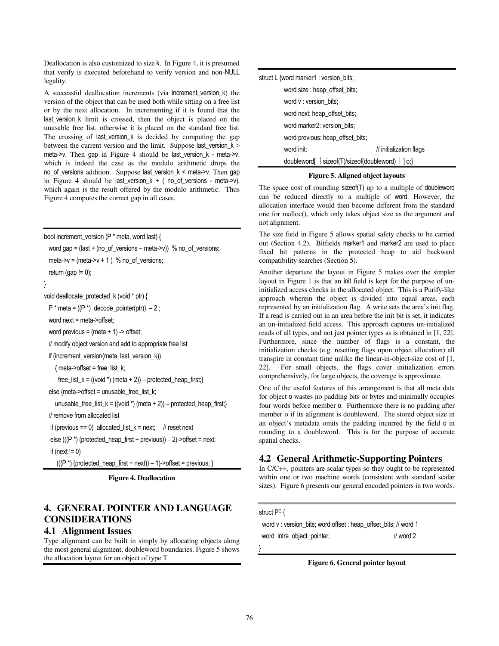Deallocation is also customized to size &. In Figure 4, it is presumed that verify is executed beforehand to verify version and non-NULL legality.

A successful deallocation increments (via increment version k) the version of the object that can be used both while sitting on a free list or by the next allocation. In incrementing if it is found that the last\_version\_k limit is crossed, then the object is placed on the unusable free list, otherwise it is placed on the standard free list. The crossing of last\_version\_k is decided by computing the gap between the current version and the limit. Suppose  $last\_version_k \ge$ meta->v. Then gap in Figure 4 should be last\_version\_k - meta->v, which is indeed the case as the modulo arithmetic drops the no\_of\_versions addition. Suppose last\_version\_k < meta->v. Then gap in Figure 4 should be last\_version\_k + (no\_of\_versions - meta->v), which again is the result offered by the modulo arithmetic. Thus Figure 4 computes the correct gap in all cases.

```
bool increment_version (P * meta, word last) {
```

```
word gap = (last + (no_of_versions – meta->v)) % no_of_versions;
  meta \rightarrow v = (meta \rightarrow v + 1) % no_of_versions;
  return (gap != 0);
ļ
void deallocate_protected_k (void * ptr) {
  P * meta = ((P * ) decode\_pointer(pt)) - 2 ;word next = meta->offset;
  word previous = (meta + 1) -> offset;
  // modify object version and add to appropriate free list
  if (increment_version(meta, last_version_k))
       -
 !       

 &
      free_list_k = ((void *) (meta + 2)) – protected_heap_first;}
  else {meta->offset = unusable_free_list_k;
     unusable_free_list_k = ((void *) (meta + 2)) – protected_heap_first;}
  // remove from allocated list
   if (previous == 0) allocated_list_k = next; \frac{1}{2} reset next
   else (((P *) (protected_heap_first + previous)) – 2)->offset = next;
  if (next != 0)
     (((P<sup>*</sup>) (protected\_heap\_first + next)) - 1)-\text{offset} = previous;
```
**Figure 4. Deallocation**

# **4. GENERAL POINTER AND LANGUAGE CONSIDERATIONS 4.1 Alignment Issues**

Type alignment can be built in simply by allocating objects along the most general alignment, doubleword boundaries. Figure 5 shows the allocation layout for an object of type T.

| struct L {word marker1 : version_bits;                         |                         |  |  |  |
|----------------------------------------------------------------|-------------------------|--|--|--|
| word size: heap offset bits;                                   |                         |  |  |  |
| word v : version_bits;                                         |                         |  |  |  |
| word next: heap offset bits;                                   |                         |  |  |  |
| word marker2: version bits:                                    |                         |  |  |  |
| word previous: heap_offset_bits;                               |                         |  |  |  |
| word init:                                                     | // initialization flags |  |  |  |
| doubleword $\lceil$ sizeof(T)/sizeof(doubleword) $\rceil$   0; |                         |  |  |  |

#### **Figure 5. Aligned object layouts**

The space cost of rounding  $sizeof(T)$  up to a multiple of doubleword can be reduced directly to a multiple of word. However, the allocation interface would then become different from the standard one for malloc(), which only takes object size as the argument and not alignment.

The size field in Figure 5 allows spatial safety checks to be carried out (Section 4.2). Bitfields marker1 and marker2 are used to place fixed bit patterns in the protected heap to aid backward compatibility searches (Section 5).

Another departure the layout in Figure 5 makes over the simpler layout in Figure 1 is that an init field is kept for the purpose of uninitialized access checks in the allocated object. This is a Purify-like approach wherein the object is divided into equal areas, each represented by an initialization flag. A write sets the area's init flag. If a read is carried out in an area before the init bit is set, it indicates an un-initialized field access. This approach captures un-initialized reads of all types, and not just pointer types as is obtained in [1, 22]. Furthermore, since the number of flags is a constant, the initialization checks (e.g. resetting flags upon object allocation) all transpire in constant time unlike the linear-in-object-size cost of [1, 22]. For small objects, the flags cover initialization errors comprehensively, for large objects, the coverage is approximate.

One of the useful features of this arrangement is that all meta data for object 0 wastes no padding bits or bytes and minimally occupies four words before member  $o$ . Furthermore there is no padding after member o if its alignment is doubleword. The stored object size in an object's metadata omits the padding incurred by the field  $o$  in rounding to a doubleword. This is for the purpose of accurate spatial checks.

## **4.2 General Arithmetic-Supporting Pointers**

In C/C++, pointers are scalar types so they ought to be represented within one or two machine words (consistent with standard scalar sizes). Figure 6 presents our general encoded pointers in two words.

#### struct P<sup>G</sup> {

}

word v : version\_bits; word offset : heap\_offset\_bits; // word 1

' - @  \*\* ' \$

**Figure 6. General pointer layout**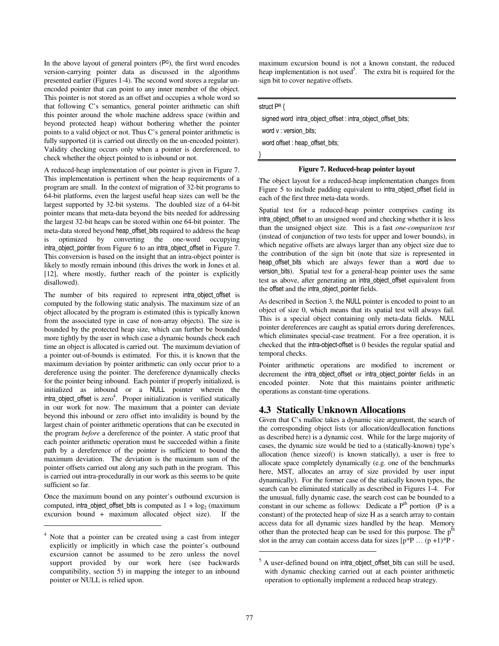In the above layout of general pointers  $(P<sup>G</sup>)$ , the first word encodes version-carrying pointer data as discussed in the algorithms presented earlier (Figures 1-4). The second word stores a regular unencoded pointer that can point to any inner member of the object. This pointer is not stored as an offset and occupies a whole word so that following C's semantics, general pointer arithmetic can shift this pointer around the whole machine address space (within and beyond protected heap) without bothering whether the pointer points to a valid object or not. Thus C's general pointer arithmetic is fully supported (it is carried out directly on the un-encoded pointer). Validity checking occurs only when a pointer is dereferenced, to check whether the object pointed to is inbound or not.

A reduced-heap implementation of our pointer is given in Figure 7. This implementation is pertinent when the heap requirements of a program are small. In the context of migration of 32-bit programs to 64-bit platforms, even the largest useful heap sizes can well be the largest supported by 32-bit systems. The doubled size of a 64-bit pointer means that meta-data beyond the bits needed for addressing the largest 32-bit heaps can be stored within one 64-bit pointer. The meta-data stored beyond heap\_offset\_bits required to address the heap is optimized by converting the one-word occupying intra\_object\_pointer from Figure 6 to an intra\_object\_offset in Figure 7. This conversion is based on the insight that an intra-object pointer is likely to mostly remain inbound (this drives the work in Jones et al. [12], where mostly, further reach of the pointer is explicitly disallowed).

The number of bits required to represent intra\_object\_offset is computed by the following static analysis. The maximum size of an object allocated by the program is estimated (this is typically known from the associated type in case of non-array objects). The size is bounded by the protected heap size, which can further be bounded more tightly by the user in which case a dynamic bounds check each time an object is allocated is carried out. The maximum deviation of a pointer out-of-bounds is estimated. For this, it is known that the maximum deviation by pointer arithmetic can only occur prior to a dereference using the pointer. The dereference dynamically checks for the pointer being inbound. Each pointer if properly initialized, is initialized as inbound or a NULL pointer wherein the intra\_object\_offset is zero<sup>4</sup>. Proper initialization is verified statically in our work for now. The maximum that a pointer can deviate beyond this inbound or zero offset into invalidity is bound by the largest chain of pointer arithmetic operations that can be executed in the program *before* a dereference of the pointer. A static proof that each pointer arithmetic operation must be succeeded within a finite path by a dereference of the pointer is sufficient to bound the maximum deviation. The deviation is the maximum sum of the pointer offsets carried out along any such path in the program. This is carried out intra-procedurally in our work as this seems to be quite sufficient so far.

Once the maximum bound on any pointer's outbound excursion is computed, intra\_object\_offset\_bits is computed as  $1 + \log_2$  (maximum excursion bound + maximum allocated object size). If the maximum excursion bound is not a known constant, the reduced heap implementation is not used<sup>5</sup>. The extra bit is required for the sign bit to cover negative offsets.

#### struct P<sup>R</sup> {

signed word intra\_object\_offset : intra\_object\_offset\_bits;

word v : version bits;

word offset : heap\_offset\_bits;

}

#### **Figure 7. Reduced-heap pointer layout**

The object layout for a reduced-heap implementation changes from Figure 5 to include padding equivalent to intra\_object\_offset field in each of the first three meta-data words.

Spatial test for a reduced-heap pointer comprises casting its intra\_object\_offset to an unsigned word and checking whether it is less than the unsigned object size. This is a fast *one-comparison test* (instead of conjunction of two tests for upper and lower bounds), in which negative offsets are always larger than any object size due to the contribution of the sign bit (note that size is represented in heap\_offset\_bits which are always fewer than a word due to ). Spatial test for a general-heap pointer uses the same test as above, after generating an intra\_object\_offset equivalent from the offset and the intra\_object\_pointer fields.

As described in Section 3, the NULL pointer is encoded to point to an object of size 0, which means that its spatial test will always fail. This is a special object containing only meta-data fields. NULL pointer dereferences are caught as spatial errors during dereferences, which eliminates special-case treatment. For a free operation, it is checked that the intra-object-offset is 0 besides the regular spatial and temporal checks.

Pointer arithmetic operations are modified to increment or decrement the intra\_object\_offset or intra\_object\_pointer fields in an encoded pointer. Note that this maintains pointer arithmetic operations as constant-time operations.

#### **4.3 Statically Unknown Allocations**

Given that C's malloc takes a dynamic size argument, the search of the corresponding object lists (or allocation/deallocation functions as described here) is a dynamic cost. While for the large majority of cases, the dynamic size would be tied to a (statically-known) type's allocation (hence sizeof() is known statically), a user is free to allocate space completely dynamically (e.g. one of the benchmarks here, MST, allocates an array of size provided by user input dynamically). For the former case of the statically known types, the search can be eliminated statically as described in Figures 1-4. For the unusual, fully dynamic case, the search cost can be bounded to a constant in our scheme as follows: Dedicate a  $P<sup>th</sup>$  portion (P is a constant) of the protected heap of size H as a search array to contain access data for all dynamic sizes handled by the heap. Memory other than the protected heap can be used for this purpose. The p<sup>th</sup> slot in the array can contain access data for sizes  $[p^*P \dots (p+1)^*P - p]$ 

<sup>&</sup>lt;sup>4</sup> Note that a pointer can be created using a cast from integer explicitly or implicitly in which case the pointer's outbound excursion cannot be assumed to be zero unless the novel support provided by our work here (see backwards compatibility, section 5) in mapping the integer to an inbound pointer or NULL is relied upon.

 $5$  A user-defined bound on intra\_object\_offset\_bits can still be used, with dynamic checking carried out at each pointer arithmetic operation to optionally implement a reduced heap strategy.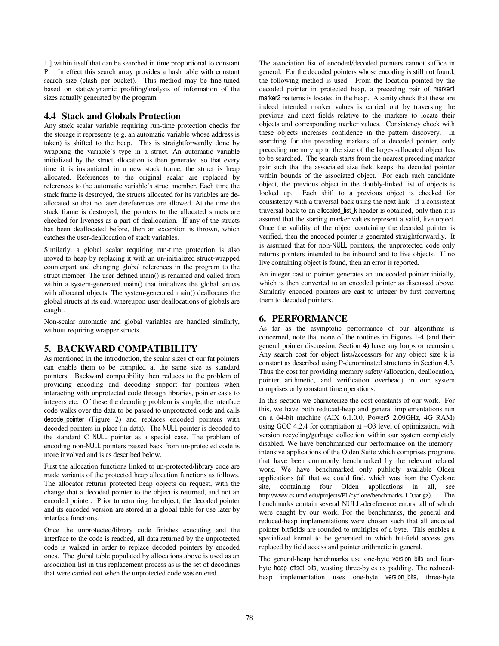1 ] within itself that can be searched in time proportional to constant P. In effect this search array provides a hash table with constant search size (clash per bucket). This method may be fine-tuned based on static/dynamic profiling/analysis of information of the sizes actually generated by the program.

## **4.4 Stack and Globals Protection**

Any stack scalar variable requiring run-time protection checks for the storage it represents (e.g. an automatic variable whose address is taken) is shifted to the heap. This is straightforwardly done by wrapping the variable's type in a struct. An automatic variable initialized by the struct allocation is then generated so that every time it is instantiated in a new stack frame, the struct is heap allocated. References to the original scalar are replaced by references to the automatic variable's struct member. Each time the stack frame is destroyed, the structs allocated for its variables are deallocated so that no later dereferences are allowed. At the time the stack frame is destroyed, the pointers to the allocated structs are checked for liveness as a part of deallocation. If any of the structs has been deallocated before, then an exception is thrown, which catches the user-deallocation of stack variables.

Similarly, a global scalar requiring run-time protection is also moved to heap by replacing it with an un-initialized struct-wrapped counterpart and changing global references in the program to the struct member. The user-defined main() is renamed and called from within a system-generated main() that initializes the global structs with allocated objects. The system-generated main() deallocates the global structs at its end, whereupon user deallocations of globals are caught.

Non-scalar automatic and global variables are handled similarly, without requiring wrapper structs.

# **5. BACKWARD COMPATIBILITY**

As mentioned in the introduction, the scalar sizes of our fat pointers can enable them to be compiled at the same size as standard pointers. Backward compatibility then reduces to the problem of providing encoding and decoding support for pointers when interacting with unprotected code through libraries, pointer casts to integers etc. Of these the decoding problem is simple; the interface code walks over the data to be passed to unprotected code and calls decode\_pointer (Figure 2) and replaces encoded pointers with decoded pointers in place (in data). The NULL pointer is decoded to the standard C NULL pointer as a special case. The problem of encoding non-NULL pointers passed back from un-protected code is more involved and is as described below.

First the allocation functions linked to un-protected/library code are made variants of the protected heap allocation functions as follows. The allocator returns protected heap objects on request, with the change that a decoded pointer to the object is returned, and not an encoded pointer. Prior to returning the object, the decoded pointer and its encoded version are stored in a global table for use later by interface functions.

Once the unprotected/library code finishes executing and the interface to the code is reached, all data returned by the unprotected code is walked in order to replace decoded pointers by encoded ones. The global table populated by allocations above is used as an association list in this replacement process as is the set of decodings that were carried out when the unprotected code was entered.

The association list of encoded/decoded pointers cannot suffice in general. For the decoded pointers whose encoding is still not found, the following method is used. From the location pointed by the decoded pointer in protected heap, a preceding pair of marker1 marker2 patterns is located in the heap. A sanity check that these are indeed intended marker values is carried out by traversing the previous and next fields relative to the markers to locate their objects and corresponding marker values. Consistency check with these objects increases confidence in the pattern discovery. In searching for the preceding markers of a decoded pointer, only preceding memory up to the size of the largest-allocated object has to be searched. The search starts from the nearest preceding marker pair such that the associated size field keeps the decoded pointer within bounds of the associated object. For each such candidate object, the previous object in the doubly-linked list of objects is looked up. Each shift to a previous object is checked for consistency with a traversal back using the next link. If a consistent traversal back to an allocated\_list\_k header is obtained, only then it is assured that the starting marker values represent a valid, live object. Once the validity of the object containing the decoded pointer is verified, then the encoded pointer is generated straightforwardly. It is assumed that for non-NULL pointers, the unprotected code only returns pointers intended to be inbound and to live objects. If no live containing object is found, then an error is reported.

An integer cast to pointer generates an undecoded pointer initially, which is then converted to an encoded pointer as discussed above. Similarly encoded pointers are cast to integer by first converting them to decoded pointers.

# **6. PERFORMANCE**

As far as the asymptotic performance of our algorithms is concerned, note that none of the routines in Figures 1-4 (and their general pointer discussion, Section 4) have any loops or recursion. Any search cost for object lists/accessors for any object size k is constant as described using P-denominated structures in Section 4.3. Thus the cost for providing memory safety (allocation, deallocation, pointer arithmetic, and verification overhead) in our system comprises only constant time operations.

In this section we characterize the cost constants of our work. For this, we have both reduced-heap and general implementations run on a 64-bit machine (AIX 6.1.0.0, Power5 2.09GHz, 4G RAM) using GCC 4.2.4 for compilation at –O3 level of optimization, with version recycling/garbage collection within our system completely disabled. We have benchmarked our performance on the memoryintensive applications of the Olden Suite which comprises programs that have been commonly benchmarked by the relevant related work. We have benchmarked only publicly available Olden applications (all that we could find, which was from the Cyclone site, containing four Olden applications in all, see http://www.cs.umd.edu/projects/PL/cyclone/benchmarks-1.0.tar.gz). The benchmarks contain several NULL-dereference errors, all of which were caught by our work. For the benchmarks, the general and reduced-heap implementations were chosen such that all encoded pointer bitfields are rounded to multiples of a byte. This enables a specialized kernel to be generated in which bit-field access gets replaced by field access and pointer arithmetic in general.

The general-heap benchmarks use one-byte version bits and fourbyte heap\_offset\_bits, wasting three-bytes as padding. The reducedheap implementation uses one-byte version bits, three-byte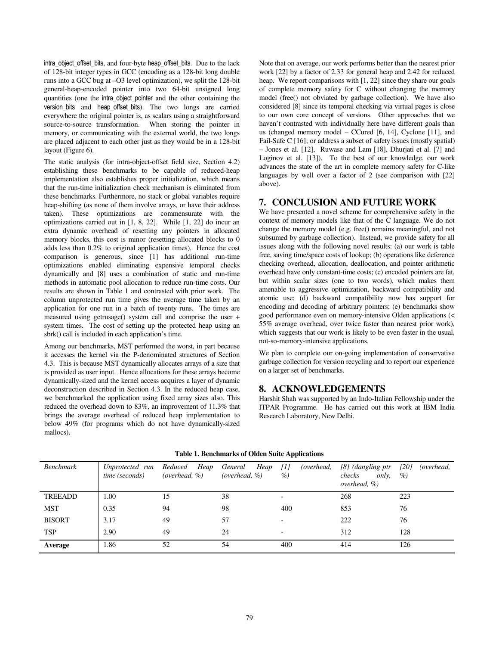intra\_object\_offset\_bits, and four-byte heap\_offset\_bits. Due to the lack of 128-bit integer types in GCC (encoding as a 128-bit long double runs into a GCC bug at –O3 level optimization), we split the 128-bit general-heap-encoded pointer into two 64-bit unsigned long quantities (one the intra\_object\_pointer and the other containing the version\_bits and heap\_offset\_bits). The two longs are carried everywhere the original pointer is, as scalars using a straightforward source-to-source transformation. When storing the pointer in memory, or communicating with the external world, the two longs are placed adjacent to each other just as they would be in a 128-bit layout (Figure 6).

The static analysis (for intra-object-offset field size, Section 4.2) establishing these benchmarks to be capable of reduced-heap implementation also establishes proper initialization, which means that the run-time initialization check mechanism is eliminated from these benchmarks. Furthermore, no stack or global variables require heap-shifting (as none of them involve arrays, or have their address taken). These optimizations are commensurate with the optimizations carried out in [1, 8, 22]. While [1, 22] do incur an extra dynamic overhead of resetting any pointers in allocated memory blocks, this cost is minor (resetting allocated blocks to 0 adds less than 0.2% to original application times). Hence the cost comparison is generous, since [1] has additional run-time optimizations enabled eliminating expensive temporal checks dynamically and [8] uses a combination of static and run-time methods in automatic pool allocation to reduce run-time costs. Our results are shown in Table 1 and contrasted with prior work. The column unprotected run time gives the average time taken by an application for one run in a batch of twenty runs. The times are measured using getrusage() system call and comprise the user + system times. The cost of setting up the protected heap using an sbrk() call is included in each application's time.

Among our benchmarks, MST performed the worst, in part because it accesses the kernel via the P-denominated structures of Section 4.3. This is because MST dynamically allocates arrays of a size that is provided as user input. Hence allocations for these arrays become dynamically-sized and the kernel access acquires a layer of dynamic deconstruction described in Section 4.3. In the reduced heap case, we benchmarked the application using fixed array sizes also. This reduced the overhead down to 83%, an improvement of 11.3% that brings the average overhead of reduced heap implementation to below 49% (for programs which do not have dynamically-sized mallocs).

Note that on average, our work performs better than the nearest prior work [22] by a factor of 2.33 for general heap and 2.42 for reduced heap. We report comparisons with [1, 22] since they share our goals of complete memory safety for C without changing the memory model (free() not obviated by garbage collection). We have also considered [8] since its temporal checking via virtual pages is close to our own core concept of versions. Other approaches that we haven't contrasted with individually here have different goals than us (changed memory model – CCured [6, 14], Cyclone [11], and Fail-Safe C [16]; or address a subset of safety issues (mostly spatial) – Jones et al. [12], Ruwase and Lam [18], Dhurjati et al. [7] and Loginov et al. [13]). To the best of our knowledge, our work advances the state of the art in complete memory safety for C-like languages by well over a factor of 2 (see comparison with [22] above).

# **7. CONCLUSION AND FUTURE WORK**

We have presented a novel scheme for comprehensive safety in the context of memory models like that of the C language. We do not change the memory model (e.g. free() remains meaningful, and not subsumed by garbage collection). Instead, we provide safety for all issues along with the following novel results: (a) our work is table free, saving time/space costs of lookup; (b) operations like deference checking overhead, allocation, deallocation, and pointer arithmetic overhead have only constant-time costs; (c) encoded pointers are fat, but within scalar sizes (one to two words), which makes them amenable to aggressive optimization, backward compatibility and atomic use; (d) backward compatibility now has support for encoding and decoding of arbitrary pointers; (e) benchmarks show good performance even on memory-intensive Olden applications (< 55% average overhead, over twice faster than nearest prior work), which suggests that our work is likely to be even faster in the usual, not-so-memory-intensive applications.

We plan to complete our on-going implementation of conservative garbage collection for version recycling and to report our experience on a larger set of benchmarks.

## **8. ACKNOWLEDGEMENTS**

Harshit Shah was supported by an Indo-Italian Fellowship under the ITPAR Programme. He has carried out this work at IBM India Research Laboratory, New Delhi.

| <b>Benchmark</b> | time (seconds) | Unprotected run Reduced Heap<br>(overhead, $\%$ ) | General Heap<br>(overhead, $\%$ ) | [1]<br>(overhead,<br>$\%$ | [8] (dangling ptr<br>checks<br><i>only</i> ,<br>overhead, %) | [20]<br>(overhead,<br>$\%$ |
|------------------|----------------|---------------------------------------------------|-----------------------------------|---------------------------|--------------------------------------------------------------|----------------------------|
| <b>TREEADD</b>   | 1.00           |                                                   | 38                                |                           | 268                                                          | 223                        |
| <b>MST</b>       | 0.35           | 94                                                | 98                                | 400                       | 853                                                          | 76                         |
| <b>BISORT</b>    | 3.17           | 49                                                | 57                                |                           | 222                                                          | 76                         |
| <b>TSP</b>       | 2.90           | 49                                                | 24                                |                           | 312                                                          | 128                        |
| Average          | 1.86           | 52                                                | 54                                | 400                       | 414                                                          | 126                        |

**Table 1. Benchmarks of Olden Suite Applications**